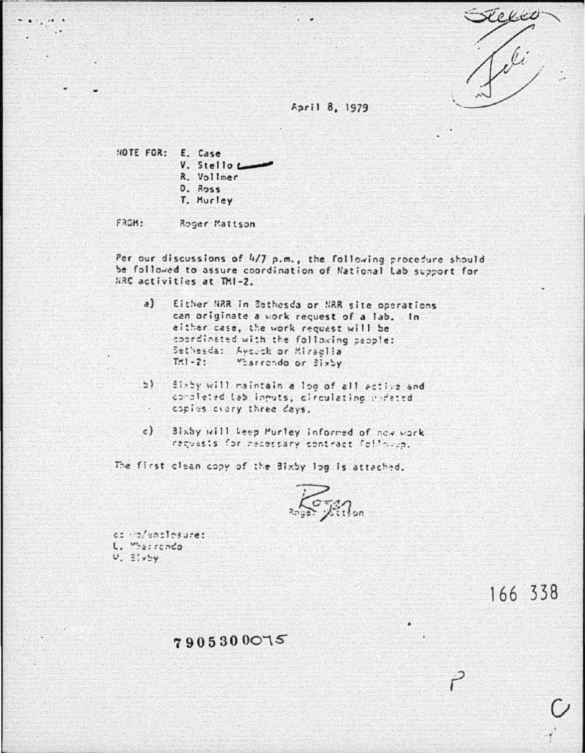

## April 8, 1979

NOTE FOR: E. Case V. Stello R. Vollmer  $D.$  Ross T. Murley

FROM: Roger Mattson

Per our discussions of 4/7 p.m., the following procedure should be followed to assure coordination of National Lab support for NRC activities at TMI-2.

- $a)$ Either NRR in Bethesda or NRR site operations can originate a work request of a lab. In either case, the work request will be coordinated with the following paople: Sethesda: Aycock or Miraglia  $T = 1 - 2$ : Viarrendo or Bixby
- $51$ Birby will maintain a log of all active and concleted lab inputs, circulating chrated conies every three days. X.
- $c)$ Bixby will keep Purley informed of now work requests for receisary contract followin.

The first clean copy of the Bixby log is attached.

comp/enclosure: L. "Sarrendo  $V. E1x5y$ 

166 338

7905300075